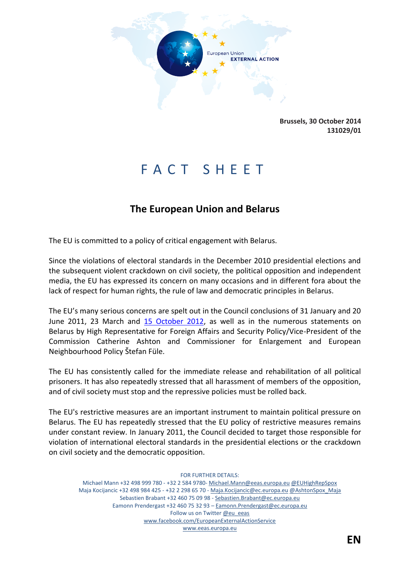

**Brussels, 30 October 2014 131029/01**

# F A C T S H E E T

# **The European Union and Belarus**

The EU is committed to a policy of critical engagement with Belarus.

Since the violations of electoral standards in the December 2010 presidential elections and the subsequent violent crackdown on civil society, the political opposition and independent media, the EU has expressed its concern on many occasions and in different fora about the lack of respect for human rights, the rule of law and democratic principles in Belarus.

The EU's many serious concerns are spelt out in the Council conclusions of 31 January and 20 June 2011, 23 March and [15 October 2012,](http://www.consilium.europa.eu/uedocs/cms_data/docs/pressdata/EN/foraff/132836.pdf) as well as in the numerous statements on Belarus by High Representative for Foreign Affairs and Security Policy/Vice-President of the Commission Catherine Ashton and Commissioner for Enlargement and European Neighbourhood Policy Štefan Füle.

The EU has consistently called for the immediate release and rehabilitation of all political prisoners. It has also repeatedly stressed that all harassment of members of the opposition, and of civil society must stop and the repressive policies must be rolled back.

The EU's restrictive measures are an important instrument to maintain political pressure on Belarus. The EU has repeatedly stressed that the EU policy of restrictive measures remains under constant review. In January 2011, the Council decided to target those responsible for violation of international electoral standards in the presidential elections or the crackdown on civil society and the democratic opposition.

FOR FURTHER DETAILS: Michael Mann +32 498 999 780 - +32 2 584 9780- Michael.Mann@eeas.europa.eu @EUHighRepSpox Maja Kocijancic +32 498 984 425 - +32 2 298 65 70 - Maja.Kocijancic@ec.europa.eu @AshtonSpox\_Maja Sebastien Brabant +32 460 75 09 98 - Sebastien.Brabant@ec.europa.eu Eamonn Prendergast +32 460 75 32 93 – Eamonn.Prendergast@ec.europa.eu Follow us on Twitter @eu\_eeas www.facebook.com/EuropeanExternalActionService

www.eeas.europa.eu

**EN**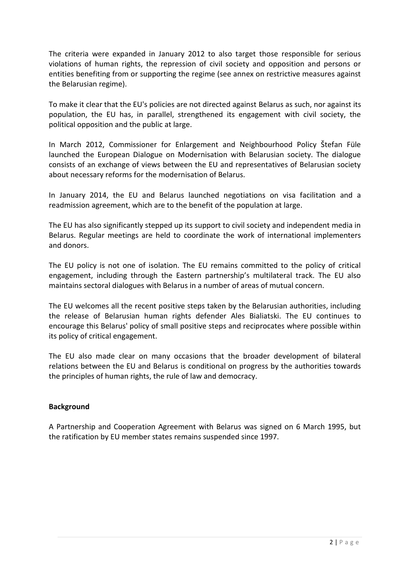The criteria were expanded in January 2012 to also target those responsible for serious violations of human rights, the repression of civil society and opposition and persons or entities benefiting from or supporting the regime (see annex on restrictive measures against the Belarusian regime).

To make it clear that the EU's policies are not directed against Belarus as such, nor against its population, the EU has, in parallel, strengthened its engagement with civil society, the political opposition and the public at large.

In March 2012, Commissioner for Enlargement and Neighbourhood Policy Štefan Füle launched the European Dialogue on Modernisation with Belarusian society. The dialogue consists of an exchange of views between the EU and representatives of Belarusian society about necessary reforms for the modernisation of Belarus.

In January 2014, the EU and Belarus launched negotiations on visa facilitation and a readmission agreement, which are to the benefit of the population at large.

The EU has also significantly stepped up its support to civil society and independent media in Belarus. Regular meetings are held to coordinate the work of international implementers and donors.

The EU policy is not one of isolation. The EU remains committed to the policy of critical engagement, including through the Eastern partnership's multilateral track. The EU also maintains sectoral dialogues with Belarus in a number of areas of mutual concern.

The EU welcomes all the recent positive steps taken by the Belarusian authorities, including the release of Belarusian human rights defender Ales Bialiatski. The EU continues to encourage this Belarus' policy of small positive steps and reciprocates where possible within its policy of critical engagement.

The EU also made clear on many occasions that the broader development of bilateral relations between the EU and Belarus is conditional on progress by the authorities towards the principles of human rights, the rule of law and democracy.

## **Background**

A Partnership and Cooperation Agreement with Belarus was signed on 6 March 1995, but the ratification by EU member states remains suspended since 1997.